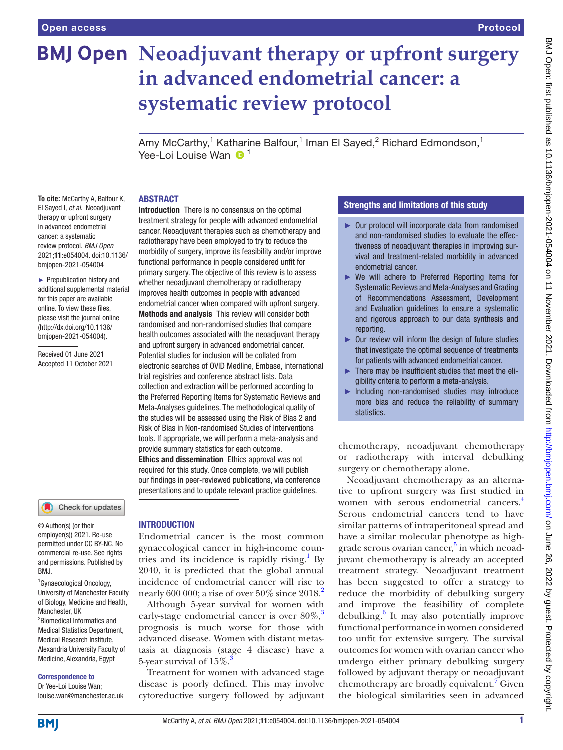# **BMJ Open Neoadjuvant therapy or upfront surgery in advanced endometrial cancer: a systematic review protocol**

Amy McCarthy,<sup>1</sup> Katharine Balfour,<sup>1</sup> Iman El Sayed,<sup>2</sup> Richard Edmondson,<sup>1</sup> Yee-Loi Louise Wan  $\bigcirc$ <sup>1</sup>

### ABSTRACT

**To cite:** McCarthy A, Balfour K, El Sayed I, *et al*. Neoadjuvant therapy or upfront surgery in advanced endometrial cancer: a systematic review protocol. *BMJ Open* 2021;11:e054004. doi:10.1136/ bmjopen-2021-054004

► Prepublication history and additional supplemental material for this paper are available online. To view these files, please visit the journal online [\(http://dx.doi.org/10.1136/](http://dx.doi.org/10.1136/bmjopen-2021-054004) [bmjopen-2021-054004](http://dx.doi.org/10.1136/bmjopen-2021-054004)).

Received 01 June 2021 Accepted 11 October 2021

### Check for updates

© Author(s) (or their employer(s)) 2021. Re-use permitted under CC BY-NC. No commercial re-use. See rights and permissions. Published by BMJ.

1 Gynaecological Oncology, University of Manchester Faculty of Biology, Medicine and Health, Manchester, UK 2 Biomedical Informatics and Medical Statistics Department, Medical Research Institute, Alexandria University Faculty of Medicine, Alexandria, Egypt

### Correspondence to

Dr Yee-Loi Louise Wan; louise.wan@manchester.ac.uk

Introduction There is no consensus on the optimal treatment strategy for people with advanced endometrial cancer. Neoadjuvant therapies such as chemotherapy and radiotherapy have been employed to try to reduce the morbidity of surgery, improve its feasibility and/or improve functional performance in people considered unfit for primary surgery. The objective of this review is to assess whether neoadjuvant chemotherapy or radiotherapy improves health outcomes in people with advanced endometrial cancer when compared with upfront surgery. Methods and analysis This review will consider both randomised and non-randomised studies that compare health outcomes associated with the neoadjuvant therapy and upfront surgery in advanced endometrial cancer. Potential studies for inclusion will be collated from electronic searches of OVID Medline, Embase, international trial registries and conference abstract lists. Data collection and extraction will be performed according to the Preferred Reporting Items for Systematic Reviews and Meta‐Analyses guidelines. The methodological quality of the studies will be assessed using the Risk of Bias 2 and Risk of Bias in Non-randomised Studies of Interventions tools. If appropriate, we will perform a meta-analysis and provide summary statistics for each outcome. Ethics and dissemination Ethics approval was not required for this study. Once complete, we will publish our findings in peer-reviewed publications, via conference presentations and to update relevant practice guidelines.

### INTRODUCTION

Endometrial cancer is the most common gynaecological cancer in high-income coun-tries and its incidence is rapidly rising.<sup>[1](#page-4-0)</sup> By 2040, it is predicted that the global annual incidence of endometrial cancer will rise to nearly 600 000; a rise of over  $50\%$  since  $2018.<sup>2</sup>$  $2018.<sup>2</sup>$ 

Although 5-year survival for women with early-stage endometrial cancer is over  $80\%$ ,<sup>[3](#page-4-2)</sup> prognosis is much worse for those with advanced disease. Women with distant metastasis at diagnosis (stage 4 disease) have a 5-year survival of  $15\%$ .

Treatment for women with advanced stage disease is poorly defined. This may involve cytoreductive surgery followed by adjuvant

### Strengths and limitations of this study

- ► Our protocol will incorporate data from randomised and non-randomised studies to evaluate the effectiveness of neoadjuvant therapies in improving survival and treatment-related morbidity in advanced endometrial cancer.
- ► We will adhere to Preferred Reporting Items for Systematic Reviews and Meta‐Analyses and Grading of Recommendations Assessment, Development and Evaluation guidelines to ensure a systematic and rigorous approach to our data synthesis and reporting.
- ► Our review will inform the design of future studies that investigate the optimal sequence of treatments for patients with advanced endometrial cancer.
- ► There may be insufficient studies that meet the eligibility criteria to perform a meta-analysis.
- Including non-randomised studies may introduce more bias and reduce the reliability of summary statistics.

chemotherapy, neoadjuvant chemotherapy or radiotherapy with interval debulking surgery or chemotherapy alone.

Neoadjuvant chemotherapy as an alternative to upfront surgery was first studied in women with serous endometrial cancers.<sup>4</sup> Serous endometrial cancers tend to have similar patterns of intraperitoneal spread and have a similar molecular phenotype as high-grade serous ovarian cancer,<sup>[5](#page-4-4)</sup> in which neoadjuvant chemotherapy is already an accepted treatment strategy. Neoadjuvant treatment has been suggested to offer a strategy to reduce the morbidity of debulking surgery and improve the feasibility of complete debulking.<sup>[6](#page-4-5)</sup> It may also potentially improve functional performance in women considered too unfit for extensive surgery. The survival outcomes for women with ovarian cancer who undergo either primary debulking surgery followed by adjuvant therapy or neoadjuvant chemotherapy are broadly equivalent.<sup>[7](#page-4-6)</sup> Given the biological similarities seen in advanced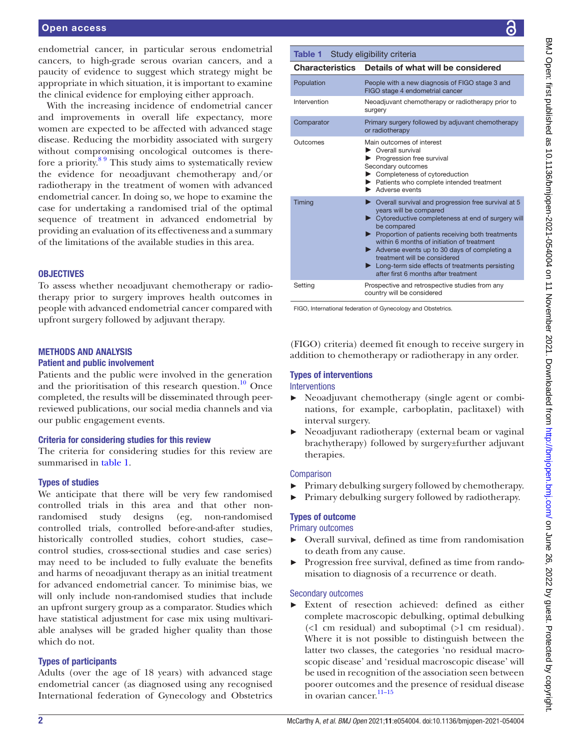### Open access

endometrial cancer, in particular serous endometrial cancers, to high-grade serous ovarian cancers, and a paucity of evidence to suggest which strategy might be appropriate in which situation, it is important to examine the clinical evidence for employing either approach.

With the increasing incidence of endometrial cancer and improvements in overall life expectancy, more women are expected to be affected with advanced stage disease. Reducing the morbidity associated with surgery without compromising oncological outcomes is therefore a priority.[8 9](#page-4-7) This study aims to systematically review the evidence for neoadjuvant chemotherapy and/or radiotherapy in the treatment of women with advanced endometrial cancer. In doing so, we hope to examine the case for undertaking a randomised trial of the optimal sequence of treatment in advanced endometrial by providing an evaluation of its effectiveness and a summary of the limitations of the available studies in this area.

### **OBJECTIVES**

To assess whether neoadjuvant chemotherapy or radiotherapy prior to surgery improves health outcomes in people with advanced endometrial cancer compared with upfront surgery followed by adjuvant therapy.

### METHODS AND ANALYSIS

### Patient and public involvement

Patients and the public were involved in the generation and the prioritisation of this research question. $10$  Once completed, the results will be disseminated through peerreviewed publications, our social media channels and via our public engagement events.

### Criteria for considering studies for this review

The criteria for considering studies for this review are summarised in [table](#page-1-0) 1.

### Types of studies

We anticipate that there will be very few randomised controlled trials in this area and that other nonrandomised study designs (eg, non-randomised controlled trials, controlled before-and-after studies, historically controlled studies, cohort studies, case– control studies, cross-sectional studies and case series) may need to be included to fully evaluate the benefits and harms of neoadjuvant therapy as an initial treatment for advanced endometrial cancer. To minimise bias, we will only include non-randomised studies that include an upfront surgery group as a comparator. Studies which have statistical adjustment for case mix using multivariable analyses will be graded higher quality than those which do not.

### Types of participants

Adults (over the age of 18 years) with advanced stage endometrial cancer (as diagnosed using any recognised International federation of Gynecology and Obstetrics

# BMJ Open: first published as 10.1136/bmjopen-2021-054004 on 11 November 2021. Downloaded from http://bmjopen.bmj.com/ on June 26, 2022 by guest. Protected by copyright BMJ Open: first published as 10.1136/bmjopen-2021-054004 on 11 November 2021. Downloaded from <http://bmjopen.bmj.com/> on June 26, 2022 by guest. Protected by copyright.

### <span id="page-1-0"></span>Table 1 Study eligibility criteria

| Characteristics | Details of what will be considered                                                                                                                                                                                                                                                                                                                                                                                                                  |
|-----------------|-----------------------------------------------------------------------------------------------------------------------------------------------------------------------------------------------------------------------------------------------------------------------------------------------------------------------------------------------------------------------------------------------------------------------------------------------------|
| Population      | People with a new diagnosis of FIGO stage 3 and<br>FIGO stage 4 endometrial cancer                                                                                                                                                                                                                                                                                                                                                                  |
| Intervention    | Neoadjuvant chemotherapy or radiotherapy prior to<br>surgery                                                                                                                                                                                                                                                                                                                                                                                        |
| Comparator      | Primary surgery followed by adjuvant chemotherapy<br>or radiotherapy                                                                                                                                                                                                                                                                                                                                                                                |
| Outcomes        | Main outcomes of interest<br>• Overall survival<br>Progression free survival<br>Secondary outcomes<br>Completeness of cytoreduction<br>> Patients who complete intended treatment<br>$\blacktriangleright$ Adverse events                                                                                                                                                                                                                           |
| Timing          | $\triangleright$ Overall survival and progression free survival at 5<br>years will be compared<br>▶ Cytoreductive completeness at end of surgery will<br>be compared<br>Proportion of patients receiving both treatments<br>within 6 months of initiation of treatment<br>Adverse events up to 30 days of completing a<br>treatment will be considered<br>• Long-term side effects of treatments persisting<br>after first 6 months after treatment |
| Setting         | Prospective and retrospective studies from any<br>country will be considered                                                                                                                                                                                                                                                                                                                                                                        |

FIGO, International federation of Gynecology and Obstetrics.

(FIGO) criteria) deemed fit enough to receive surgery in addition to chemotherapy or radiotherapy in any order.

## Types of interventions

### Interventions

- ► Neoadjuvant chemotherapy (single agent or combinations, for example, carboplatin, paclitaxel) with interval surgery.
- Neoadjuvant radiotherapy (external beam or vaginal brachytherapy) followed by surgery±further adjuvant therapies.

### **Comparison**

- ► Primary debulking surgery followed by chemotherapy.
- ► Primary debulking surgery followed by radiotherapy.

### Types of outcome

Primary outcomes

- ► Overall survival, defined as time from randomisation to death from any cause.
- Progression free survival, defined as time from randomisation to diagnosis of a recurrence or death.

### Secondary outcomes

► Extent of resection achieved: defined as either complete macroscopic debulking, optimal debulking (<1 cm residual) and suboptimal (>1 cm residual). Where it is not possible to distinguish between the latter two classes, the categories 'no residual macroscopic disease' and 'residual macroscopic disease' will be used in recognition of the association seen between poorer outcomes and the presence of residual disease in ovarian cancer.<sup>11-15</sup>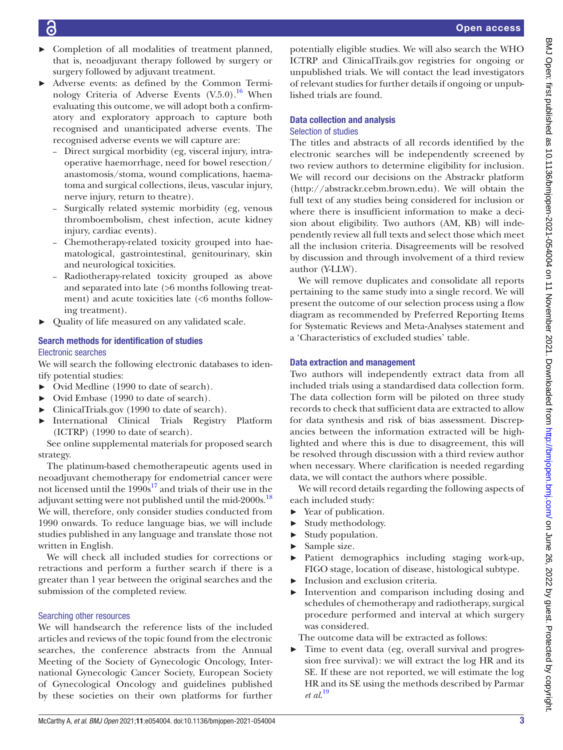- 
- ► Completion of all modalities of treatment planned, that is, neoadjuvant therapy followed by surgery or surgery followed by adjuvant treatment.
- ► Adverse events: as defined by the Common Terminology Criteria of Adverse Events  $(V.5.0)$ .<sup>16</sup> When evaluating this outcome, we will adopt both a confirmatory and exploratory approach to capture both recognised and unanticipated adverse events. The recognised adverse events we will capture are:
	- Direct surgical morbidity (eg, visceral injury, intraoperative haemorrhage, need for bowel resection/ anastomosis/stoma, wound complications, haematoma and surgical collections, ileus, vascular injury, nerve injury, return to theatre).
	- Surgically related systemic morbidity (eg, venous thromboembolism, chest infection, acute kidney injury, cardiac events).
	- Chemotherapy-related toxicity grouped into haematological, gastrointestinal, genitourinary, skin and neurological toxicities.
	- Radiotherapy-related toxicity grouped as above and separated into late (>6 months following treatment) and acute toxicities late (<6 months following treatment).
- Quality of life measured on any validated scale.

### Search methods for identification of studies Electronic searches

We will search the following electronic databases to identify potential studies:

- ► Ovid Medline (1990 to date of search).
- ► Ovid Embase (1990 to date of search).
- ► ClinicalTrials.gov (1990 to date of search).
- ► International Clinical Trials Registry Platform (ICTRP) (1990 to date of search).

See [online supplemental materials](https://dx.doi.org/10.1136/bmjopen-2021-054004) for proposed search strategy.

The platinum-based chemotherapeutic agents used in neoadjuvant chemotherapy for endometrial cancer were not licensed until the  $1990s^{17}$  and trials of their use in the adjuvant setting were not published until the mid-2000s.<sup>[18](#page-4-12)</sup> We will, therefore, only consider studies conducted from 1990 onwards. To reduce language bias, we will include studies published in any language and translate those not written in English.

We will check all included studies for corrections or retractions and perform a further search if there is a greater than 1 year between the original searches and the submission of the completed review.

### Searching other resources

We will handsearch the reference lists of the included articles and reviews of the topic found from the electronic searches, the conference abstracts from the Annual Meeting of the Society of Gynecologic Oncology, International Gynecologic Cancer Society, European Society of Gynecological Oncology and guidelines published by these societies on their own platforms for further

potentially eligible studies. We will also search the WHO ICTRP and ClinicalTrails.gov registries for ongoing or unpublished trials. We will contact the lead investigators of relevant studies for further details if ongoing or unpublished trials are found.

# Data collection and analysis

### Selection of studies

The titles and abstracts of all records identified by the electronic searches will be independently screened by two review authors to determine eligibility for inclusion. We will record our decisions on the Abstrackr platform [\(http://abstrackr.cebm.brown.edu](http://abstrackr.cebm.brown.edu)). We will obtain the full text of any studies being considered for inclusion or where there is insufficient information to make a decision about eligibility. Two authors (AM, KB) will independently review all full texts and select those which meet all the inclusion criteria. Disagreements will be resolved by discussion and through involvement of a third review author (Y-LLW).

We will remove duplicates and consolidate all reports pertaining to the same study into a single record. We will present the outcome of our selection process using a flow diagram as recommended by Preferred Reporting Items for Systematic Reviews and Meta‐Analyses statement and a 'Characteristics of excluded studies' table.

### Data extraction and management

Two authors will independently extract data from all included trials using a standardised data collection form. The data collection form will be piloted on three study records to check that sufficient data are extracted to allow for data synthesis and risk of bias assessment. Discrepancies between the information extracted will be highlighted and where this is due to disagreement, this will be resolved through discussion with a third review author when necessary. Where clarification is needed regarding data, we will contact the authors where possible.

We will record details regarding the following aspects of each included study:

- ► Year of publication.
- ► Study methodology.
- ► Study population.
- ► Sample size.
- ► Patient demographics including staging work-up, FIGO stage, location of disease, histological subtype.
- ► Inclusion and exclusion criteria.
- Intervention and comparison including dosing and schedules of chemotherapy and radiotherapy, surgical procedure performed and interval at which surgery was considered.

The outcome data will be extracted as follows:

► Time to event data (eg, overall survival and progression free survival): we will extract the log HR and its SE. If these are not reported, we will estimate the log HR and its SE using the methods described by Parmar *et al*. [19](#page-4-13)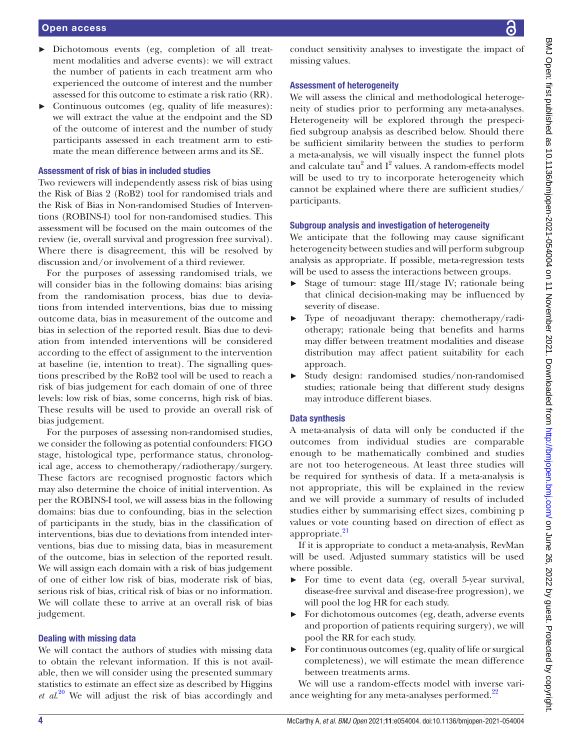# Open access ► Dichotomous events (eg, completion of all treat-

- ment modalities and adverse events): we will extract the number of patients in each treatment arm who experienced the outcome of interest and the number assessed for this outcome to estimate a risk ratio (RR).
- ► Continuous outcomes (eg, quality of life measures): we will extract the value at the endpoint and the SD of the outcome of interest and the number of study participants assessed in each treatment arm to estimate the mean difference between arms and its SE.

### Assessment of risk of bias in included studies

Two reviewers will independently assess risk of bias using the Risk of Bias 2 (RoB2) tool for randomised trials and the Risk of Bias in Non-randomised Studies of Interventions (ROBINS-I) tool for non-randomised studies. This assessment will be focused on the main outcomes of the review (ie, overall survival and progression free survival). Where there is disagreement, this will be resolved by discussion and/or involvement of a third reviewer.

For the purposes of assessing randomised trials, we will consider bias in the following domains: bias arising from the randomisation process, bias due to deviations from intended interventions, bias due to missing outcome data, bias in measurement of the outcome and bias in selection of the reported result. Bias due to deviation from intended interventions will be considered according to the effect of assignment to the intervention at baseline (ie, intention to treat). The signalling questions prescribed by the RoB2 tool will be used to reach a risk of bias judgement for each domain of one of three levels: low risk of bias, some concerns, high risk of bias. These results will be used to provide an overall risk of bias judgement.

For the purposes of assessing non-randomised studies, we consider the following as potential confounders: FIGO stage, histological type, performance status, chronological age, access to chemotherapy/radiotherapy/surgery. These factors are recognised prognostic factors which may also determine the choice of initial intervention. As per the ROBINS-I tool, we will assess bias in the following domains: bias due to confounding, bias in the selection of participants in the study, bias in the classification of interventions, bias due to deviations from intended interventions, bias due to missing data, bias in measurement of the outcome, bias in selection of the reported result. We will assign each domain with a risk of bias judgement of one of either low risk of bias, moderate risk of bias, serious risk of bias, critical risk of bias or no information. We will collate these to arrive at an overall risk of bias judgement.

### Dealing with missing data

We will contact the authors of studies with missing data to obtain the relevant information. If this is not available, then we will consider using the presented summary statistics to estimate an effect size as described by Higgins *et al*. [20](#page-5-0) We will adjust the risk of bias accordingly and

conduct sensitivity analyses to investigate the impact of missing values.

### Assessment of heterogeneity

We will assess the clinical and methodological heterogeneity of studies prior to performing any meta-analyses. Heterogeneity will be explored through the prespecified subgroup analysis as described below. Should there be sufficient similarity between the studies to perform a meta-analysis, we will visually inspect the funnel plots and calculate  $tau^2$  and  $I^2$  values. A random-effects model will be used to try to incorporate heterogeneity which cannot be explained where there are sufficient studies/ participants.

### Subgroup analysis and investigation of heterogeneity

We anticipate that the following may cause significant heterogeneity between studies and will perform subgroup analysis as appropriate. If possible, meta-regression tests will be used to assess the interactions between groups.

- ► Stage of tumour: stage III/stage IV; rationale being that clinical decision-making may be influenced by severity of disease.
- ► Type of neoadjuvant therapy: chemotherapy/radiotherapy; rationale being that benefits and harms may differ between treatment modalities and disease distribution may affect patient suitability for each approach.
- ► Study design: randomised studies/non-randomised studies; rationale being that different study designs may introduce different biases.

### Data synthesis

A meta-analysis of data will only be conducted if the outcomes from individual studies are comparable enough to be mathematically combined and studies are not too heterogeneous. At least three studies will be required for synthesis of data. If a meta-analysis is not appropriate, this will be explained in the review and we will provide a summary of results of included studies either by summarising effect sizes, combining p values or vote counting based on direction of effect as appropriate.<sup>[21](#page-5-1)</sup>

If it is appropriate to conduct a meta-analysis, RevMan will be used. Adjusted summary statistics will be used where possible.

- ► For time to event data (eg, overall 5-year survival, disease-free survival and disease-free progression), we will pool the log HR for each study.
- ► For dichotomous outcomes (eg, death, adverse events and proportion of patients requiring surgery), we will pool the RR for each study.
- ► For continuous outcomes (eg, quality of life or surgical completeness), we will estimate the mean difference between treatments arms.

We will use a random-effects model with inverse variance weighting for any meta-analyses performed.<sup>22</sup>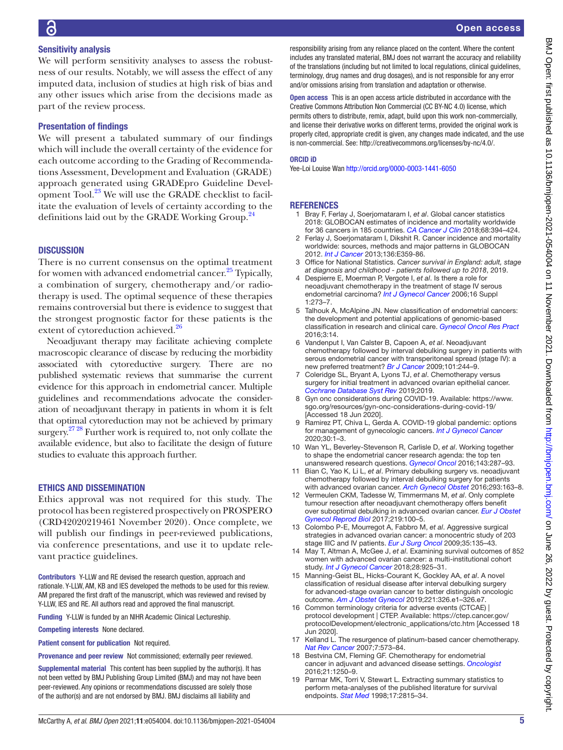### Sensitivity analysis

We will perform sensitivity analyses to assess the robustness of our results. Notably, we will assess the effect of any imputed data, inclusion of studies at high risk of bias and any other issues which arise from the decisions made as part of the review process.

### Presentation of findings

We will present a tabulated summary of our findings which will include the overall certainty of the evidence for each outcome according to the Grading of Recommendations Assessment, Development and Evaluation (GRADE) approach generated using GRADEpro Guideline Development Tool.<sup>23</sup> We will use the GRADE checklist to facilitate the evaluation of levels of certainty according to the definitions laid out by the GRADE Working Group.<sup>[24](#page-5-4)</sup>

### **DISCUSSION**

There is no current consensus on the optimal treatment for women with advanced endometrial cancer.<sup>25</sup> Typically, a combination of surgery, chemotherapy and/or radiotherapy is used. The optimal sequence of these therapies remains controversial but there is evidence to suggest that the strongest prognostic factor for these patients is the extent of cytoreduction achieved.<sup>[26](#page-5-6)</sup>

Neoadjuvant therapy may facilitate achieving complete macroscopic clearance of disease by reducing the morbidity associated with cytoreductive surgery. There are no published systematic reviews that summarise the current evidence for this approach in endometrial cancer. Multiple guidelines and recommendations advocate the consideration of neoadjuvant therapy in patients in whom it is felt that optimal cytoreduction may not be achieved by primary surgery.<sup>27 28</sup> Further work is required to, not only collate the available evidence, but also to facilitate the design of future studies to evaluate this approach further.

### ETHICS AND DISSEMINATION

Ethics approval was not required for this study. The protocol has been registered prospectively on PROSPERO (CRD42020219461 November 2020). Once complete, we will publish our findings in peer-reviewed publications, via conference presentations, and use it to update relevant practice guidelines.

Contributors Y-LLW and RE devised the research question, approach and rationale. Y-LLW, AM, KB and IES developed the methods to be used for this review. AM prepared the first draft of the manuscript, which was reviewed and revised by Y-LLW, IES and RE. All authors read and approved the final manuscript.

Funding Y-LLW is funded by an NIHR Academic Clinical Lectureship.

Competing interests None declared.

Patient consent for publication Not required.

Provenance and peer review Not commissioned; externally peer reviewed.

Supplemental material This content has been supplied by the author(s). It has not been vetted by BMJ Publishing Group Limited (BMJ) and may not have been peer-reviewed. Any opinions or recommendations discussed are solely those of the author(s) and are not endorsed by BMJ. BMJ disclaims all liability and

responsibility arising from any reliance placed on the content. Where the content includes any translated material, BMJ does not warrant the accuracy and reliability of the translations (including but not limited to local regulations, clinical guidelines, terminology, drug names and drug dosages), and is not responsible for any error and/or omissions arising from translation and adaptation or otherwise.

Open access This is an open access article distributed in accordance with the Creative Commons Attribution Non Commercial (CC BY-NC 4.0) license, which permits others to distribute, remix, adapt, build upon this work non-commercially, and license their derivative works on different terms, provided the original work is properly cited, appropriate credit is given, any changes made indicated, and the use is non-commercial. See: [http://creativecommons.org/licenses/by-nc/4.0/.](http://creativecommons.org/licenses/by-nc/4.0/)

### ORCID iD

Yee-Loi Louise Wan <http://orcid.org/0000-0003-1441-6050>

### REFERENCES

- <span id="page-4-0"></span>1 Bray F, Ferlay J, Soerjomataram I, *et al*. Global cancer statistics 2018: GLOBOCAN estimates of incidence and mortality worldwide for 36 cancers in 185 countries. *[CA Cancer J Clin](http://dx.doi.org/10.3322/caac.21492)* 2018;68:394–424.
- <span id="page-4-1"></span>2 Ferlay J, Soerjomataram I, Dikshit R. Cancer incidence and mortality worldwide: sources, methods and major patterns in GLOBOCAN 2012. *[Int J Cancer](http://dx.doi.org/10.1002/ijc.29210)* 2013;136:E359-86.
- <span id="page-4-2"></span>3 Office for National Statistics. *Cancer survival in England: adult, stage at diagnosis and childhood - patients followed up to 2018*, 2019.
- <span id="page-4-3"></span>4 Despierre E, Moerman P, Vergote I, *et al*. Is there a role for neoadjuvant chemotherapy in the treatment of stage IV serous endometrial carcinoma? *[Int J Gynecol Cancer](http://dx.doi.org/10.1136/ijgc-00009577-200602001-00044)* 2006;16 Suppl 1:273–7.
- <span id="page-4-4"></span>5 Talhouk A, McAlpine JN. New classification of endometrial cancers: the development and potential applications of genomic-based classification in research and clinical care. *[Gynecol Oncol Res Pract](http://dx.doi.org/10.1186/s40661-016-0035-4)* 2016;3:14.
- <span id="page-4-5"></span>6 Vandenput I, Van Calster B, Capoen A, *et al*. Neoadjuvant chemotherapy followed by interval debulking surgery in patients with serous endometrial cancer with transperitoneal spread (stage IV): a new preferred treatment? *[Br J Cancer](http://dx.doi.org/10.1038/sj.bjc.6605157)* 2009;101:244–9.
- <span id="page-4-6"></span>7 Coleridge SL, Bryant A, Lyons TJ, *et al*. Chemotherapy versus surgery for initial treatment in advanced ovarian epithelial cancer. *[Cochrane Database Syst Rev](http://dx.doi.org/10.1002/14651858.CD005343.pub4)* 2019;2019.
- <span id="page-4-7"></span>8 Gyn onc considerations during COVID-19. Available: [https://www.](https://www.sgo.org/resources/gyn-onc-considerations-during-covid-19/) [sgo.org/resources/gyn-onc-considerations-during-covid-19/](https://www.sgo.org/resources/gyn-onc-considerations-during-covid-19/)  [Accessed 18 Jun 2020].
- 9 Ramirez PT, Chiva L, Gerda A. COVID-19 global pandemic: options for management of gynecologic cancers. *[Int J Gynecol Cancer](http://dx.doi.org/10.1136/ijgc-2020-001419)* 2020;30:1–3.
- <span id="page-4-8"></span>10 Wan YL, Beverley-Stevenson R, Carlisle D, *et al*. Working together to shape the endometrial cancer research agenda: the top ten unanswered research questions. *[Gynecol Oncol](http://dx.doi.org/10.1016/j.ygyno.2016.08.333)* 2016;143:287–93.
- <span id="page-4-9"></span>11 Bian C, Yao K, Li L, *et al*. Primary debulking surgery vs. neoadjuvant chemotherapy followed by interval debulking surgery for patients with advanced ovarian cancer. *[Arch Gynecol Obstet](http://dx.doi.org/10.1007/s00404-015-3813-z)* 2016;293:163–8.
- 12 Vermeulen CKM, Tadesse W, Timmermans M, *et al*. Only complete tumour resection after neoadjuvant chemotherapy offers benefit over suboptimal debulking in advanced ovarian cancer. *[Eur J Obstet](http://dx.doi.org/10.1016/j.ejogrb.2017.10.019)  [Gynecol Reprod Biol](http://dx.doi.org/10.1016/j.ejogrb.2017.10.019)* 2017;219:100–5.
- 13 Colombo P-E, Mourregot A, Fabbro M, *et al*. Aggressive surgical strategies in advanced ovarian cancer: a monocentric study of 203 stage IIIC and IV patients. *[Eur J Surg Oncol](http://dx.doi.org/10.1016/j.ejso.2008.01.005)* 2009;35:135–43.
- 14 May T, Altman A, McGee J, *et al*. Examining survival outcomes of 852 women with advanced ovarian cancer: a multi-institutional cohort study. *[Int J Gynecol Cancer](http://dx.doi.org/10.1097/IGC.0000000000001244)* 2018;28:925–31.
- 15 Manning-Geist BL, Hicks-Courant K, Gockley AA, *et al*. A novel classification of residual disease after interval debulking surgery for advanced-stage ovarian cancer to better distinguish oncologic outcome. *[Am J Obstet Gynecol](http://dx.doi.org/10.1016/j.ajog.2019.05.006)* 2019;221:326.e1–326.e7.
- <span id="page-4-10"></span>16 Common terminology criteria for adverse events (CTCAE) | protocol development | CTEP. Available: [https://ctep.cancer.gov/](https://ctep.cancer.gov/protocolDevelopment/electronic_applications/ctc.htm) [protocolDevelopment/electronic\\_applications/ctc.htm](https://ctep.cancer.gov/protocolDevelopment/electronic_applications/ctc.htm) [Accessed 18 Jun 2020].
- <span id="page-4-11"></span>17 Kelland L. The resurgence of platinum-based cancer chemotherapy. *[Nat Rev Cancer](http://dx.doi.org/10.1038/nrc2167)* 2007;7:573–84.
- <span id="page-4-12"></span>18 Bestvina CM, Fleming GF. Chemotherapy for endometrial cancer in adjuvant and advanced disease settings. *[Oncologist](http://dx.doi.org/10.1634/theoncologist.2016-0062)* 2016;21:1250–9.
- <span id="page-4-13"></span>19 Parmar MK, Torri V, Stewart L. Extracting summary statistics to perform meta-analyses of the published literature for survival endpoints. *[Stat Med](http://dx.doi.org/10.1002/(SICI)1097-0258(19981230)17:24<2815::AID-SIM110>3.0.CO;2-8)* 1998;17:2815–34.